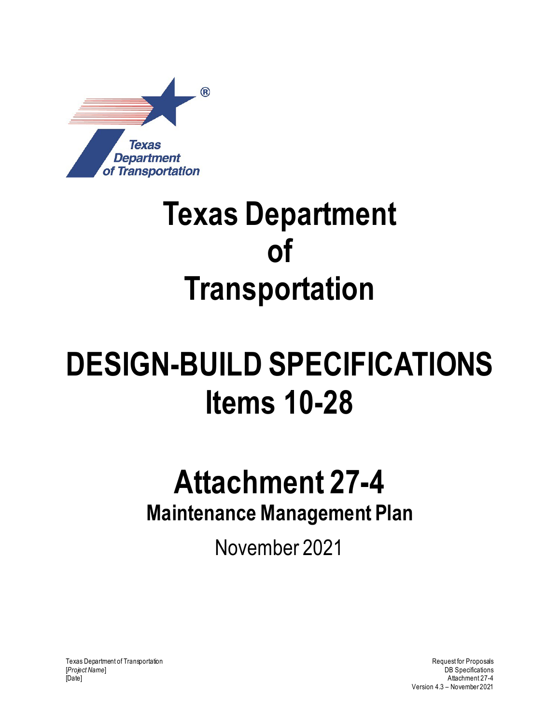

## **Texas Department of Transportation**

# **DESIGN-BUILD SPECIFICATIONS Items 10-28**

### **Attachment 27-4 Maintenance Management Plan**

November 2021

Texas Department of Transportation and the control of Transportation Request for Proposals [*Project Name*] DB Specifications [Date] Attachment 27-4

Version 4.3 – November 2021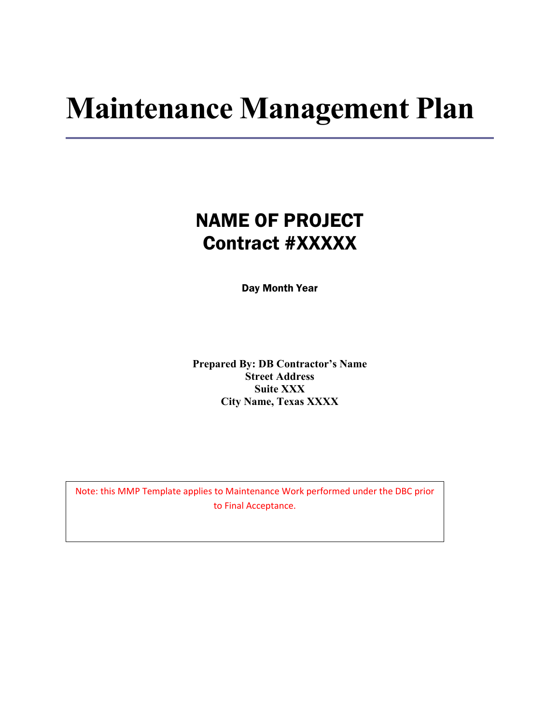## **Maintenance Management Plan**

### NAME OF PROJECT Contract #XXXXX

Day Month Year

**Prepared By: DB Contractor's Name Street Address Suite XXX City Name, Texas XXXX** 

 Note: this MMP Template applies to Maintenance Work performed under the DBC prior to Final Acceptance.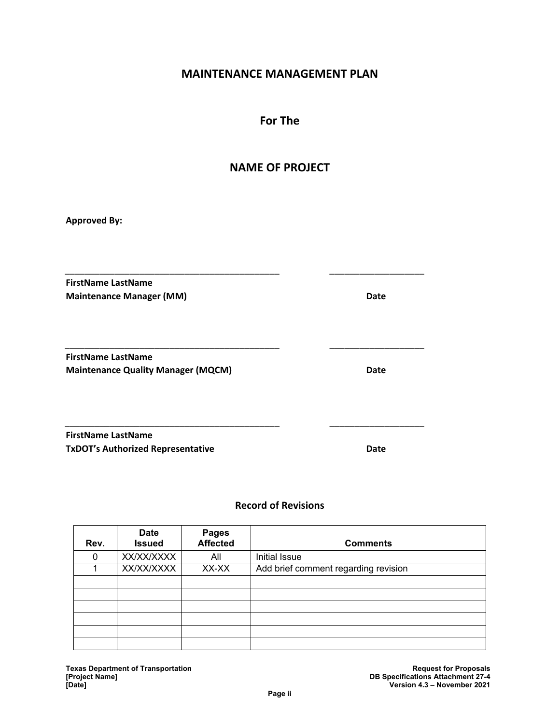#### **MAINTENANCE MANAGEMENT PLAN**

**For The**

#### **NAME OF PROJECT**

\_\_\_\_\_\_\_\_\_\_\_\_\_\_\_\_\_\_\_\_\_\_\_\_\_\_\_\_\_\_\_\_\_\_\_\_\_\_\_\_\_\_\_ \_\_\_\_\_\_\_\_\_\_\_\_\_\_\_\_\_\_\_

\_\_\_\_\_\_\_\_\_\_\_\_\_\_\_\_\_\_\_\_\_\_\_\_\_\_\_\_\_\_\_\_\_\_\_\_\_\_\_\_\_\_\_ \_\_\_\_\_\_\_\_\_\_\_\_\_\_\_\_\_\_\_

\_\_\_\_\_\_\_\_\_\_\_\_\_\_\_\_\_\_\_\_\_\_\_\_\_\_\_\_\_\_\_\_\_\_\_\_\_\_\_\_\_\_\_ \_\_\_\_\_\_\_\_\_\_\_\_\_\_\_\_\_\_\_

**Approved By:**

**FirstName LastName Maintenance Manager (MM) Date**

**FirstName LastName Maintenance Quality Manager (MQCM) Date**

**FirstName LastName TxDOT's Authorized Representative Date**

#### **Record of Revisions**

| Rev. | <b>Date</b><br><b>Issued</b> | <b>Pages</b><br><b>Affected</b> | <b>Comments</b>                      |
|------|------------------------------|---------------------------------|--------------------------------------|
| 0    | XX/XX/XXXX                   | All                             | <b>Initial Issue</b>                 |
|      | XX/XX/XXXX                   | XX-XX                           | Add brief comment regarding revision |
|      |                              |                                 |                                      |
|      |                              |                                 |                                      |
|      |                              |                                 |                                      |
|      |                              |                                 |                                      |
|      |                              |                                 |                                      |
|      |                              |                                 |                                      |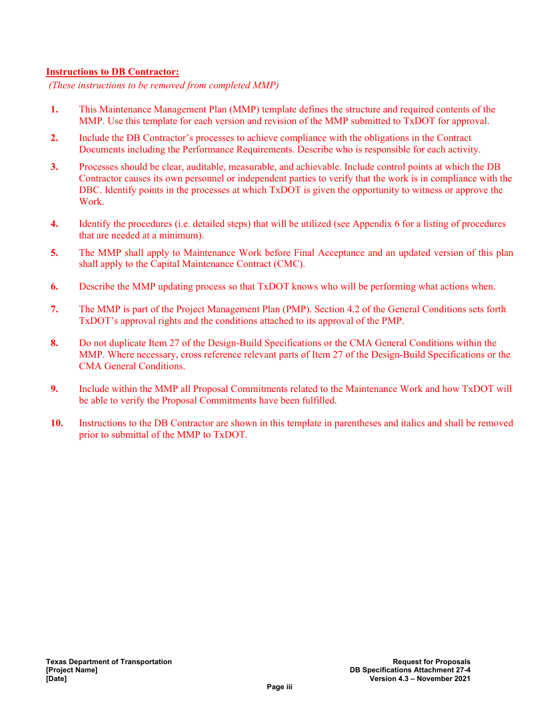#### **Instructions to DB Contractor:**

*(These instructions to be removed from completed MMP)*

- **1.** This Maintenance Management Plan (MMP) template defines the structure and required contents of the MMP. Use this template for each version and revision of the MMP submitted to TxDOT for approval.
- **2.** Include the DB Contractor's processes to achieve compliance with the obligations in the Contract Documents including the Performance Requirements. Describe who is responsible for each activity.
- **3.** Processes should be clear, auditable, measurable, and achievable. Include control points at which the DB Contractor causes its own personnel or independent parties to verify that the work is in compliance with the DBC. Identify points in the processes at which TxDOT is given the opportunity to witness or approve the Work.
- **4.** Identify the procedures (i.e. detailed steps) that will be utilized (see Appendix 6 for a listing of procedures that are needed at a minimum).
- **5.** The MMP shall apply to Maintenance Work before Final Acceptance and an updated version of this plan shall apply to the Capital Maintenance Contract (CMC).
- **6.** Describe the MMP updating process so that TxDOT knows who will be performing what actions when.
- **7.** The MMP is part of the Project Management Plan (PMP). Section 4.2 of the General Conditions sets forth TxDOT's approval rights and the conditions attached to its approval of the PMP.
- **8.** Do not duplicate Item 27 of the Design-Build Specifications or the CMA General Conditions within the MMP. Where necessary, cross reference relevant parts of Item 27 of the Design-Build Specifications or the CMA General Conditions.
- **9.** Include within the MMP all Proposal Commitments related to the Maintenance Work and how TxDOT will be able to verify the Proposal Commitments have been fulfilled.
- **10.** Instructions to the DB Contractor are shown in this template in parentheses and italics and shall be removed prior to submittal of the MMP to TxDOT.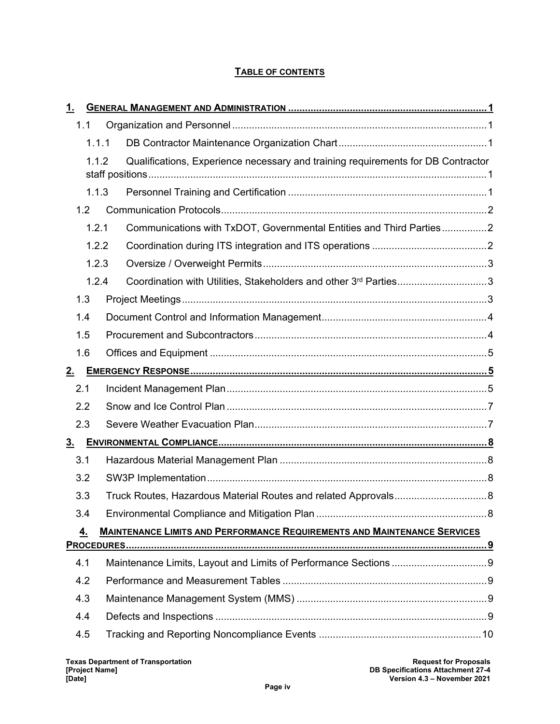#### **TABLE OF CONTENTS**

| 1.             |       |                                                                                  |  |
|----------------|-------|----------------------------------------------------------------------------------|--|
|                | 1.1   |                                                                                  |  |
|                | 1.1.1 |                                                                                  |  |
|                | 1.1.2 | Qualifications, Experience necessary and training requirements for DB Contractor |  |
|                |       |                                                                                  |  |
|                | 1.1.3 |                                                                                  |  |
|                | 12    |                                                                                  |  |
|                | 1.2.1 | Communications with TxDOT, Governmental Entities and Third Parties2              |  |
|                | 1.2.2 |                                                                                  |  |
|                | 1.2.3 |                                                                                  |  |
|                | 1.2.4 | Coordination with Utilities, Stakeholders and other 3rd Parties3                 |  |
|                | 1.3   |                                                                                  |  |
|                | 1.4   |                                                                                  |  |
|                | 1.5   |                                                                                  |  |
|                | 1.6   |                                                                                  |  |
| 2.             |       |                                                                                  |  |
| 2.1            |       |                                                                                  |  |
|                | 2.2   |                                                                                  |  |
|                | 2.3   |                                                                                  |  |
| 3 <sub>1</sub> |       |                                                                                  |  |
|                | 3.1   |                                                                                  |  |
|                | 3.2   |                                                                                  |  |
|                | 3.3   |                                                                                  |  |
|                | 3.4   |                                                                                  |  |
|                | 4.    | <b>MAINTENANCE LIMITS AND PERFORMANCE REQUIREMENTS AND MAINTENANCE SERVICES</b>  |  |
|                |       |                                                                                  |  |
|                | 4.1   |                                                                                  |  |
|                | 4.2   |                                                                                  |  |
|                | 4.3   |                                                                                  |  |
|                | 4.4   |                                                                                  |  |
|                | 4.5   |                                                                                  |  |
|                |       |                                                                                  |  |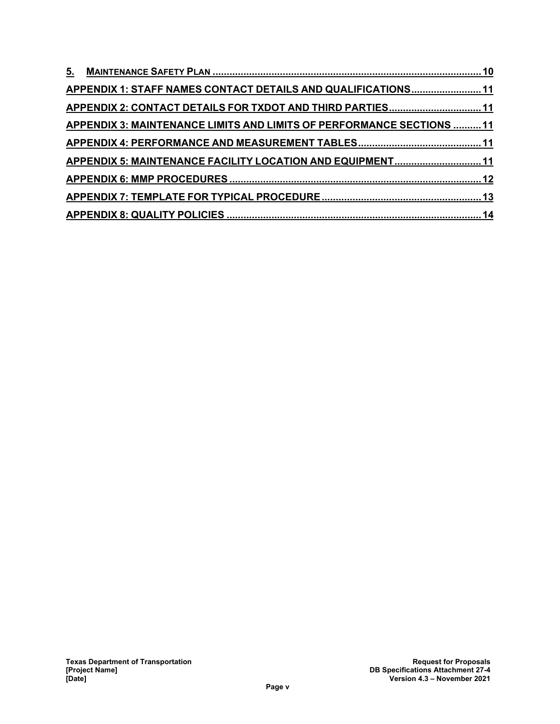| APPENDIX 1: STAFF NAMES CONTACT DETAILS AND QUALIFICATIONS 11         |  |
|-----------------------------------------------------------------------|--|
| APPENDIX 2: CONTACT DETAILS FOR TXDOT AND THIRD PARTIES 11            |  |
| APPENDIX 3: MAINTENANCE LIMITS AND LIMITS OF PERFORMANCE SECTIONS  11 |  |
|                                                                       |  |
| APPENDIX 5: MAINTENANCE FACILITY LOCATION AND EQUIPMENT 11            |  |
|                                                                       |  |
|                                                                       |  |
|                                                                       |  |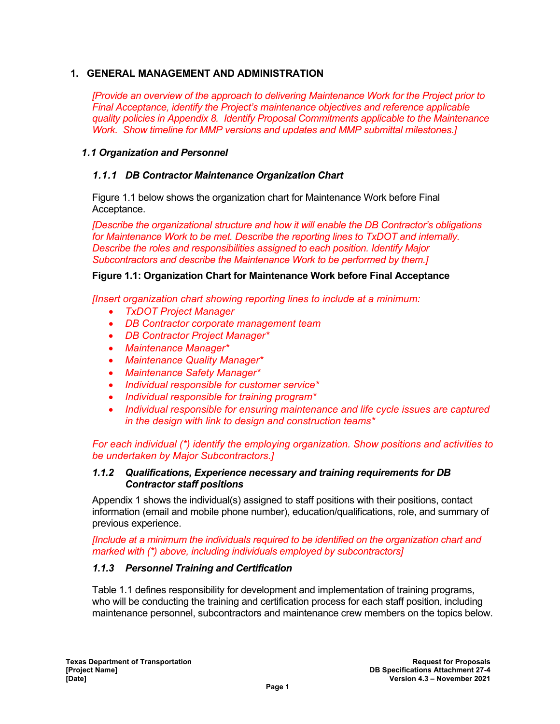#### **1. GENERAL MANAGEMENT AND ADMINISTRATION**

*[Provide an overview of the approach to delivering Maintenance Work for the Project prior to Final Acceptance, identify the Project's maintenance objectives and reference applicable quality policies in Appendix 8. Identify Proposal Commitments applicable to the Maintenance Work. Show timeline for MMP versions and updates and MMP submittal milestones.]* 

#### *1.1 Organization and Personnel*

#### *1.1.1 DB Contractor Maintenance Organization Chart*

Figure 1.1 below shows the organization chart for Maintenance Work before Final Acceptance.

*[Describe the organizational structure and how it will enable the DB Contractor's obligations for Maintenance Work to be met. Describe the reporting lines to TxDOT and internally. Describe the roles and responsibilities assigned to each position. Identify Major Subcontractors and describe the Maintenance Work to be performed by them.]* 

#### **Figure 1.1: Organization Chart for Maintenance Work before Final Acceptance**

*[Insert organization chart showing reporting lines to include at a minimum:* 

- *TxDOT Project Manager*
- *DB Contractor corporate management team*
- *DB Contractor Project Manager\**
- *Maintenance Manager\**
- *Maintenance Quality Manager\**
- *Maintenance Safety Manager\**
- *Individual responsible for customer service\**
- *Individual responsible for training program\**
- *Individual responsible for ensuring maintenance and life cycle issues are captured in the design with link to design and construction teams\**

*For each individual (\*) identify the employing organization. Show positions and activities to be undertaken by Major Subcontractors.]*

#### *1.1.2 Qualifications, Experience necessary and training requirements for DB Contractor staff positions*

Appendix 1 shows the individual(s) assigned to staff positions with their positions, contact information (email and mobile phone number), education/qualifications, role, and summary of previous experience.

*[Include at a minimum the individuals required to be identified on the organization chart and marked with (\*) above, including individuals employed by subcontractors]* 

#### *1.1.3 Personnel Training and Certification*

Table 1.1 defines responsibility for development and implementation of training programs, who will be conducting the training and certification process for each staff position, including maintenance personnel, subcontractors and maintenance crew members on the topics below.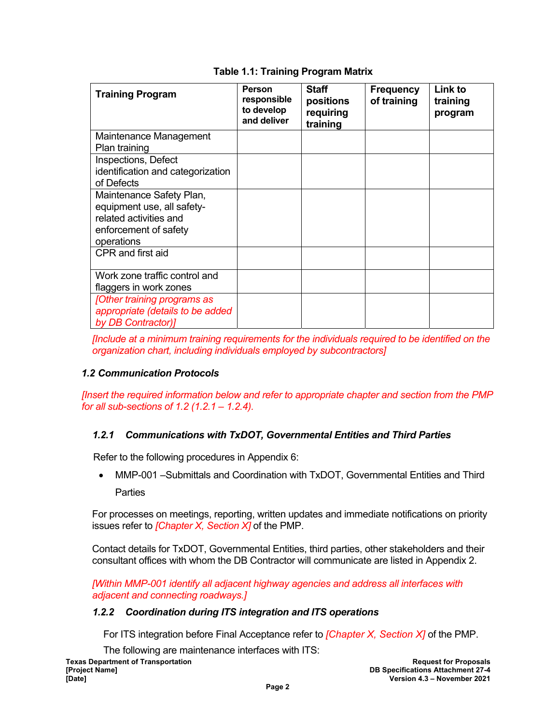| <b>Training Program</b>                                                                                                 | Person<br>responsible<br>to develop<br>and deliver | <b>Staff</b><br>positions<br>requiring<br>training | <b>Frequency</b><br>of training | Link to<br>training<br>program |
|-------------------------------------------------------------------------------------------------------------------------|----------------------------------------------------|----------------------------------------------------|---------------------------------|--------------------------------|
| Maintenance Management<br>Plan training                                                                                 |                                                    |                                                    |                                 |                                |
| Inspections, Defect<br>identification and categorization<br>of Defects                                                  |                                                    |                                                    |                                 |                                |
| Maintenance Safety Plan,<br>equipment use, all safety-<br>related activities and<br>enforcement of safety<br>operations |                                                    |                                                    |                                 |                                |
| CPR and first aid                                                                                                       |                                                    |                                                    |                                 |                                |
| Work zone traffic control and<br>flaggers in work zones                                                                 |                                                    |                                                    |                                 |                                |
| [Other training programs as<br>appropriate (details to be added<br>by DB Contractor)]                                   |                                                    |                                                    |                                 |                                |

#### **Table 1.1: Training Program Matrix**

*[Include at a minimum training requirements for the individuals required to be identified on the organization chart, including individuals employed by subcontractors]* 

#### *1.2 Communication Protocols*

*[Insert the required information below and refer to appropriate chapter and section from the PMP for all sub-sections of 1.2 (1.2.1 – 1.2.4).* 

#### *1.2.1 Communications with TxDOT, Governmental Entities and Third Parties*

Refer to the following procedures in Appendix 6:

 MMP-001 –Submittals and Coordination with TxDOT, Governmental Entities and Third **Parties** 

For processes on meetings, reporting, written updates and immediate notifications on priority issues refer to *[Chapter X, Section X]* of the PMP.

Contact details for TxDOT, Governmental Entities, third parties, other stakeholders and their consultant offices with whom the DB Contractor will communicate are listed in Appendix 2.

*[Within MMP-001 identify all adjacent highway agencies and address all interfaces with adjacent and connecting roadways.]*

#### *1.2.2 Coordination during ITS integration and ITS operations*

For ITS integration before Final Acceptance refer to *[Chapter X, Section X]* of the PMP.

**Texas Department of Transportation [Project Name] [Date]** The following are maintenance interfaces with ITS: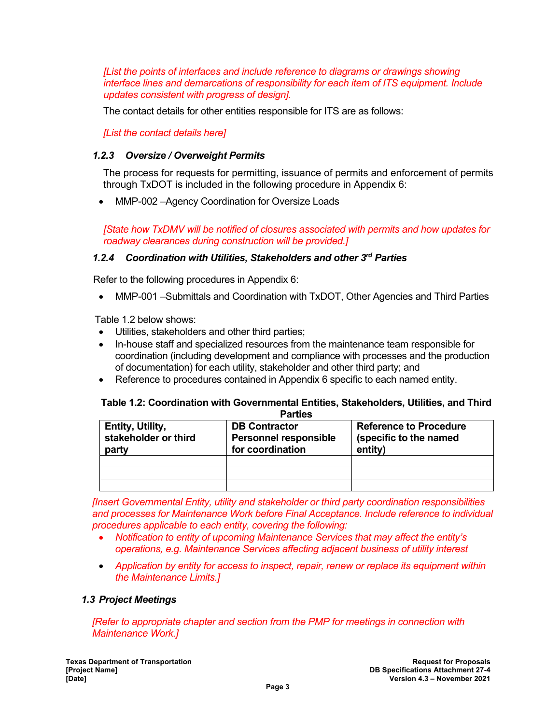*[List the points of interfaces and include reference to diagrams or drawings showing interface lines and demarcations of responsibility for each item of ITS equipment. Include updates consistent with progress of design].*

The contact details for other entities responsible for ITS are as follows:

*[List the contact details here]*

#### *1.2.3 Oversize / Overweight Permits*

The process for requests for permitting, issuance of permits and enforcement of permits through TxDOT is included in the following procedure in Appendix 6:

MMP-002 –Agency Coordination for Oversize Loads

*[State how TxDMV will be notified of closures associated with permits and how updates for roadway clearances during construction will be provided.]* 

#### *1.2.4 Coordination with Utilities, Stakeholders and other 3rd Parties*

Refer to the following procedures in Appendix 6:

MMP-001 –Submittals and Coordination with TxDOT, Other Agencies and Third Parties

Table 1.2 below shows:

- Utilities, stakeholders and other third parties;
- In-house staff and specialized resources from the maintenance team responsible for coordination (including development and compliance with processes and the production of documentation) for each utility, stakeholder and other third party; and
- Reference to procedures contained in Appendix 6 specific to each named entity.

#### **Table 1.2: Coordination with Governmental Entities, Stakeholders, Utilities, and Third Parties**

| Entity, Utility,     | <b>DB Contractor</b>         | <b>Reference to Procedure</b> |  |
|----------------------|------------------------------|-------------------------------|--|
| stakeholder or third | <b>Personnel responsible</b> | (specific to the named        |  |
| party                | for coordination             | entity)                       |  |
|                      |                              |                               |  |
|                      |                              |                               |  |
|                      |                              |                               |  |

*[Insert Governmental Entity, utility and stakeholder or third party coordination responsibilities and processes for Maintenance Work before Final Acceptance. Include reference to individual procedures applicable to each entity, covering the following:* 

- *Notification to entity of upcoming Maintenance Services that may affect the entity's operations, e.g. Maintenance Services affecting adjacent business of utility interest*
- *Application by entity for access to inspect, repair, renew or replace its equipment within the Maintenance Limits.]*

#### *1.3 Project Meetings*

*[Refer to appropriate chapter and section from the PMP for meetings in connection with Maintenance Work.]*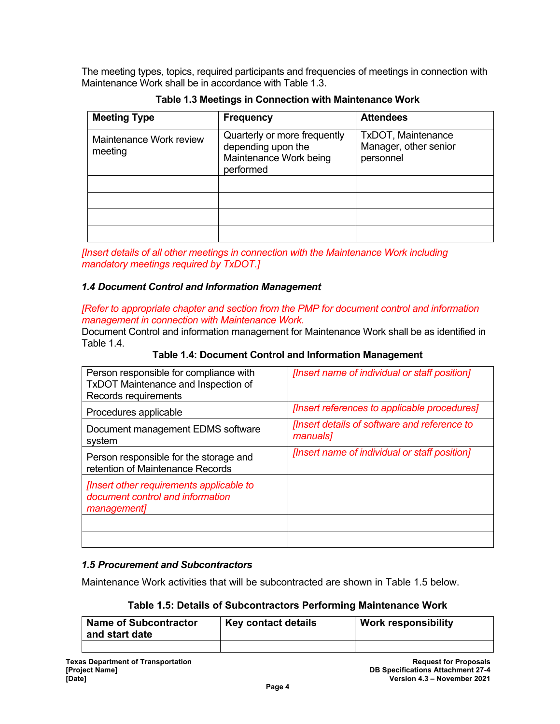The meeting types, topics, required participants and frequencies of meetings in connection with Maintenance Work shall be in accordance with Table 1.3.

| <b>Meeting Type</b>                | <b>Frequency</b>                                                                          | <b>Attendees</b>                                                |  |
|------------------------------------|-------------------------------------------------------------------------------------------|-----------------------------------------------------------------|--|
| Maintenance Work review<br>meeting | Quarterly or more frequently<br>depending upon the<br>Maintenance Work being<br>performed | <b>TxDOT, Maintenance</b><br>Manager, other senior<br>personnel |  |
|                                    |                                                                                           |                                                                 |  |
|                                    |                                                                                           |                                                                 |  |
|                                    |                                                                                           |                                                                 |  |
|                                    |                                                                                           |                                                                 |  |

**Table 1.3 Meetings in Connection with Maintenance Work** 

*[Insert details of all other meetings in connection with the Maintenance Work including mandatory meetings required by TxDOT.]* 

#### *1.4 Document Control and Information Management*

*[Refer to appropriate chapter and section from the PMP for document control and information management in connection with Maintenance Work.*

Document Control and information management for Maintenance Work shall be as identified in Table 1.4.

|  |  |  |  |  |  | Table 1.4: Document Control and Information Management |
|--|--|--|--|--|--|--------------------------------------------------------|
|--|--|--|--|--|--|--------------------------------------------------------|

| Person responsible for compliance with<br>TxDOT Maintenance and Inspection of<br>Records requirements | [Insert name of individual or staff position]                   |
|-------------------------------------------------------------------------------------------------------|-----------------------------------------------------------------|
| Procedures applicable                                                                                 | [Insert references to applicable procedures]                    |
| Document management EDMS software<br>system                                                           | <i>finsert details of software and reference to</i><br>manuals] |
| Person responsible for the storage and<br>retention of Maintenance Records                            | [Insert name of individual or staff position]                   |
| [Insert other requirements applicable to<br>document control and information<br>management]           |                                                                 |
|                                                                                                       |                                                                 |
|                                                                                                       |                                                                 |

#### *1.5 Procurement and Subcontractors*

Maintenance Work activities that will be subcontracted are shown in Table 1.5 below.

| <b>Name of Subcontractor</b><br>and start date | Key contact details | <b>Work responsibility</b> |
|------------------------------------------------|---------------------|----------------------------|
|                                                |                     |                            |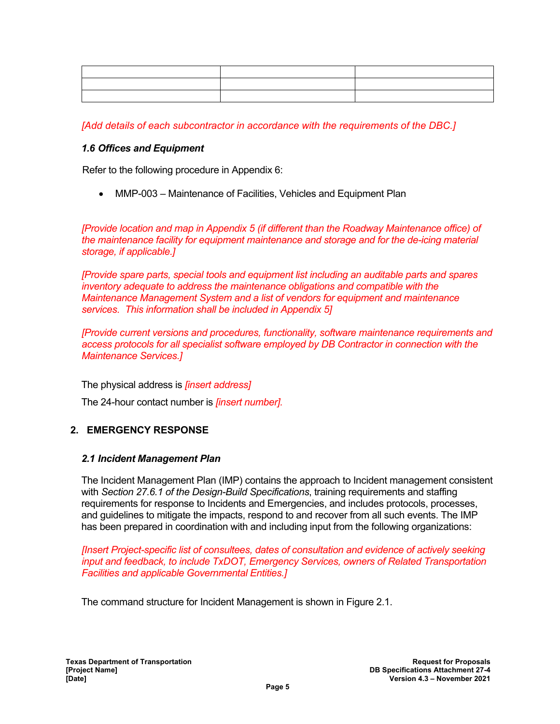| <u> Estados de la contrada de la contrada de la contrada de la contrada de la contrada de la contrada de la con</u> | the contract of the contract of the contract of the contract of the contract of the contract of the contract of |  |
|---------------------------------------------------------------------------------------------------------------------|-----------------------------------------------------------------------------------------------------------------|--|
|                                                                                                                     |                                                                                                                 |  |
|                                                                                                                     |                                                                                                                 |  |

*[Add details of each subcontractor in accordance with the requirements of the DBC.]*

#### *1.6 Offices and Equipment*

Refer to the following procedure in Appendix 6:

• MMP-003 – Maintenance of Facilities, Vehicles and Equipment Plan

*[Provide location and map in Appendix 5 (if different than the Roadway Maintenance office) of the maintenance facility for equipment maintenance and storage and for the de-icing material storage, if applicable.]* 

*[Provide spare parts, special tools and equipment list including an auditable parts and spares inventory adequate to address the maintenance obligations and compatible with the Maintenance Management System and a list of vendors for equipment and maintenance services. This information shall be included in Appendix 5]* 

*[Provide current versions and procedures, functionality, software maintenance requirements and access protocols for all specialist software employed by DB Contractor in connection with the Maintenance Services.]* 

The physical address is *[insert address]* 

The 24-hour contact number is *[insert number].*

#### **2. EMERGENCY RESPONSE**

#### *2.1 Incident Management Plan*

The Incident Management Plan (IMP) contains the approach to Incident management consistent with *Section 27.6.1 of the Design-Build Specifications*, training requirements and staffing requirements for response to Incidents and Emergencies, and includes protocols, processes, and guidelines to mitigate the impacts, respond to and recover from all such events. The IMP has been prepared in coordination with and including input from the following organizations:

*[Insert Project-specific list of consultees, dates of consultation and evidence of actively seeking input and feedback, to include TxDOT, Emergency Services, owners of Related Transportation Facilities and applicable Governmental Entities.]*

The command structure for Incident Management is shown in Figure 2.1.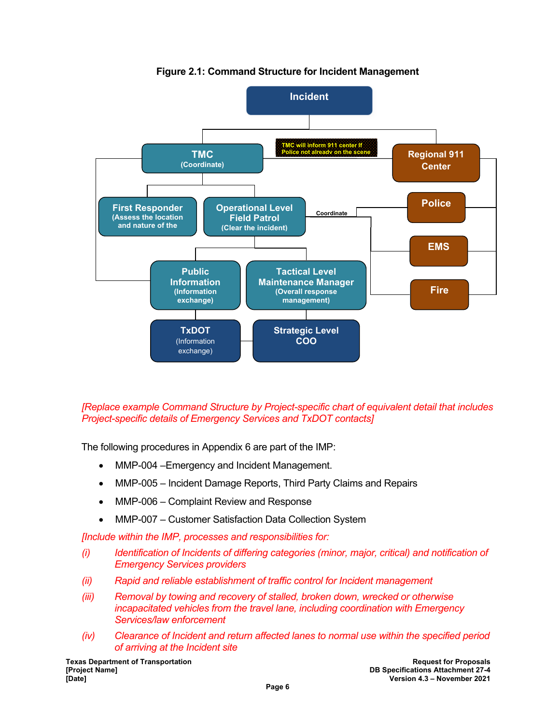

#### **Figure 2.1: Command Structure for Incident Management**

*[Replace example Command Structure by Project-specific chart of equivalent detail that includes Project-specific details of Emergency Services and TxDOT contacts]* 

The following procedures in Appendix 6 are part of the IMP:

- MMP-004 Emergency and Incident Management.
- MMP-005 Incident Damage Reports, Third Party Claims and Repairs
- MMP-006 Complaint Review and Response
- MMP-007 Customer Satisfaction Data Collection System

*[Include within the IMP, processes and responsibilities for:* 

- *(i) Identification of Incidents of differing categories (minor, major, critical) and notification of Emergency Services providers*
- *(ii) Rapid and reliable establishment of traffic control for Incident management*
- *(iii) Removal by towing and recovery of stalled, broken down, wrecked or otherwise incapacitated vehicles from the travel lane, including coordination with Emergency Services/law enforcement*
- *(iv) Clearance of Incident and return affected lanes to normal use within the specified period of arriving at the Incident site*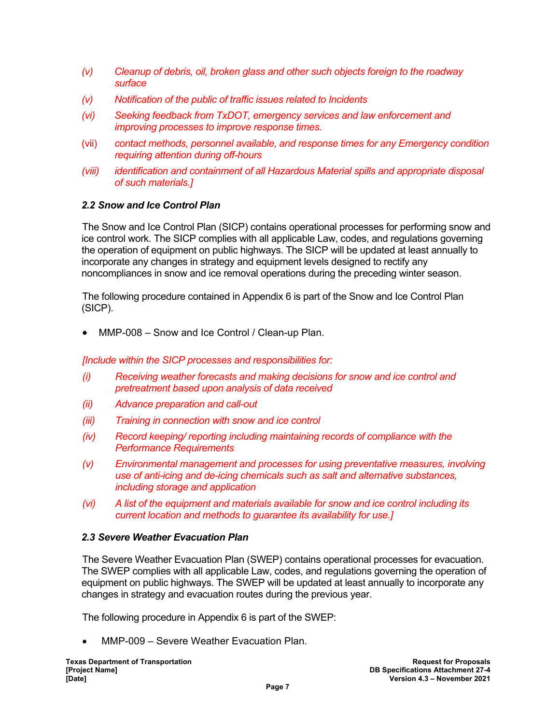- *(v) Cleanup of debris, oil, broken glass and other such objects foreign to the roadway surface*
- *(v) Notification of the public of traffic issues related to Incidents*
- *(vi) Seeking feedback from TxDOT, emergency services and law enforcement and improving processes to improve response times.*
- (vii) *contact methods, personnel available, and response times for any Emergency condition requiring attention during off-hours*
- *(viii) identification and containment of all Hazardous Material spills and appropriate disposal of such materials.]*

#### *2.2 Snow and Ice Control Plan*

The Snow and Ice Control Plan (SICP) contains operational processes for performing snow and ice control work. The SICP complies with all applicable Law, codes, and regulations governing the operation of equipment on public highways. The SICP will be updated at least annually to incorporate any changes in strategy and equipment levels designed to rectify any noncompliances in snow and ice removal operations during the preceding winter season.

The following procedure contained in Appendix 6 is part of the Snow and Ice Control Plan (SICP).

MMP-008 – Snow and Ice Control / Clean-up Plan.

#### *[Include within the SICP processes and responsibilities for:*

- *(i) Receiving weather forecasts and making decisions for snow and ice control and pretreatment based upon analysis of data received*
- *(ii) Advance preparation and call-out*
- *(iii) Training in connection with snow and ice control*
- *(iv) Record keeping/ reporting including maintaining records of compliance with the Performance Requirements*
- *(v) Environmental management and processes for using preventative measures, involving use of anti-icing and de-icing chemicals such as salt and alternative substances, including storage and application*
- *(vi) A list of the equipment and materials available for snow and ice control including its current location and methods to guarantee its availability for use.]*

#### *2.3 Severe Weather Evacuation Plan*

The Severe Weather Evacuation Plan (SWEP) contains operational processes for evacuation. The SWEP complies with all applicable Law, codes, and regulations governing the operation of equipment on public highways. The SWEP will be updated at least annually to incorporate any changes in strategy and evacuation routes during the previous year.

The following procedure in Appendix 6 is part of the SWEP:

MMP-009 – Severe Weather Evacuation Plan.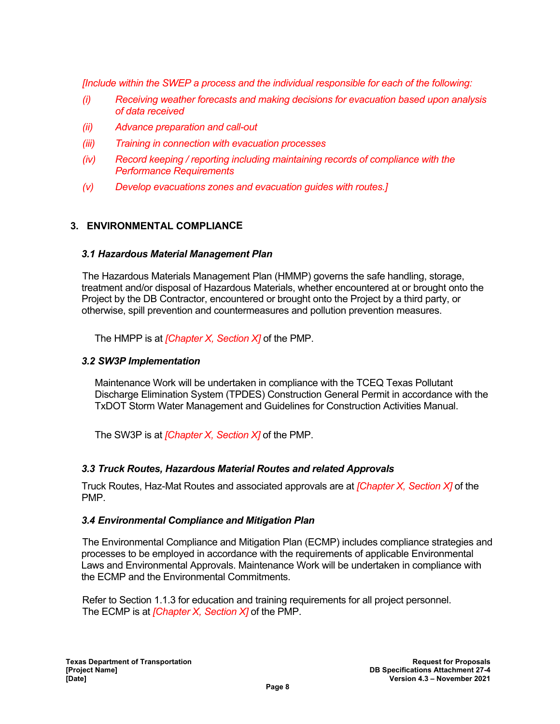*[Include within the SWEP a process and the individual responsible for each of the following:* 

- *(i) Receiving weather forecasts and making decisions for evacuation based upon analysis of data received*
- *(ii) Advance preparation and call-out*
- *(iii) Training in connection with evacuation processes*
- *(iv) Record keeping / reporting including maintaining records of compliance with the Performance Requirements*
- *(v) Develop evacuations zones and evacuation guides with routes.]*

#### **3. ENVIRONMENTAL COMPLIANCE**

#### *3.1 Hazardous Material Management Plan*

The Hazardous Materials Management Plan (HMMP) governs the safe handling, storage, treatment and/or disposal of Hazardous Materials, whether encountered at or brought onto the Project by the DB Contractor, encountered or brought onto the Project by a third party, or otherwise, spill prevention and countermeasures and pollution prevention measures.

The HMPP is at *[Chapter X, Section X]* of the PMP.

#### *3.2 SW3P Implementation*

Maintenance Work will be undertaken in compliance with the TCEQ Texas Pollutant Discharge Elimination System (TPDES) Construction General Permit in accordance with the TxDOT Storm Water Management and Guidelines for Construction Activities Manual.

The SW3P is at *[Chapter X, Section X]* of the PMP.

#### *3.3 Truck Routes, Hazardous Material Routes and related Approvals*

Truck Routes, Haz-Mat Routes and associated approvals are at *[Chapter X, Section X]* of the PMP.

#### *3.4 Environmental Compliance and Mitigation Plan*

The Environmental Compliance and Mitigation Plan (ECMP) includes compliance strategies and processes to be employed in accordance with the requirements of applicable Environmental Laws and Environmental Approvals. Maintenance Work will be undertaken in compliance with the ECMP and the Environmental Commitments.

Refer to Section 1.1.3 for education and training requirements for all project personnel. The ECMP is at *[Chapter X, Section X]* of the PMP.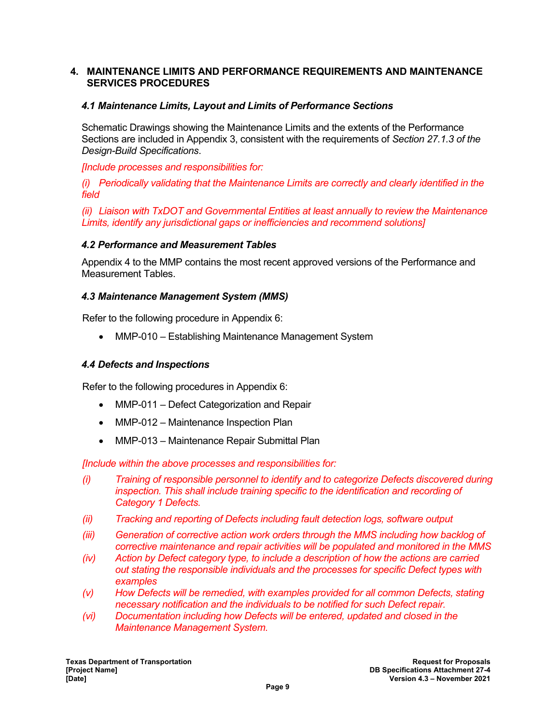#### **4. MAINTENANCE LIMITS AND PERFORMANCE REQUIREMENTS AND MAINTENANCE SERVICES PROCEDURES**

#### *4.1 Maintenance Limits, Layout and Limits of Performance Sections*

Schematic Drawings showing the Maintenance Limits and the extents of the Performance Sections are included in Appendix 3, consistent with the requirements of *Section 27.1.3 of the Design-Build Specifications*.

*[Include processes and responsibilities for:* 

*(i) Periodically validating that the Maintenance Limits are correctly and clearly identified in the field*

*(ii) Liaison with TxDOT and Governmental Entities at least annually to review the Maintenance Limits, identify any jurisdictional gaps or inefficiencies and recommend solutions]*

#### *4.2 Performance and Measurement Tables*

Appendix 4 to the MMP contains the most recent approved versions of the Performance and Measurement Tables.

#### *4.3 Maintenance Management System (MMS)*

Refer to the following procedure in Appendix 6:

MMP-010 – Establishing Maintenance Management System

#### *4.4 Defects and Inspections*

Refer to the following procedures in Appendix 6:

- MMP-011 Defect Categorization and Repair
- MMP-012 Maintenance Inspection Plan
- MMP-013 Maintenance Repair Submittal Plan

*[Include within the above processes and responsibilities for:* 

- *(i) Training of responsible personnel to identify and to categorize Defects discovered during inspection. This shall include training specific to the identification and recording of Category 1 Defects.*
- *(ii) Tracking and reporting of Defects including fault detection logs, software output*
- *(iii) Generation of corrective action work orders through the MMS including how backlog of corrective maintenance and repair activities will be populated and monitored in the MMS*
- *(iv) Action by Defect category type, to include a description of how the actions are carried out stating the responsible individuals and the processes for specific Defect types with examples*
- *(v) How Defects will be remedied, with examples provided for all common Defects, stating necessary notification and the individuals to be notified for such Defect repair.*
- *(vi) Documentation including how Defects will be entered, updated and closed in the Maintenance Management System.*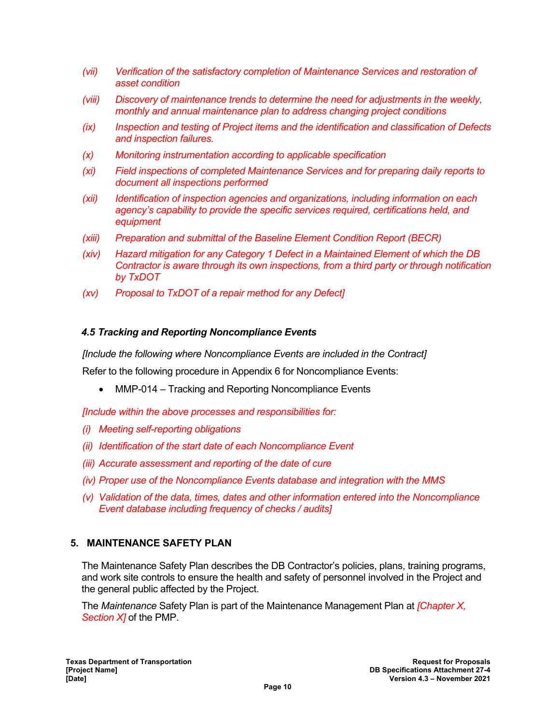- *(vii) Verification of the satisfactory completion of Maintenance Services and restoration of asset condition*
- *(viii) Discovery of maintenance trends to determine the need for adjustments in the weekly, monthly and annual maintenance plan to address changing project conditions*
- *(ix) Inspection and testing of Project items and the identification and classification of Defects and inspection failures.*
- *(x) Monitoring instrumentation according to applicable specification*
- *(xi) Field inspections of completed Maintenance Services and for preparing daily reports to document all inspections performed*
- *(xii) Identification of inspection agencies and organizations, including information on each agency's capability to provide the specific services required, certifications held, and equipment*
- *(xiii) Preparation and submittal of the Baseline Element Condition Report (BECR)*
- *(xiv) Hazard mitigation for any Category 1 Defect in a Maintained Element of which the DB Contractor is aware through its own inspections, from a third party or through notification by TxDOT*
- *(xv) Proposal to TxDOT of a repair method for any Defect]*

#### *4.5 Tracking and Reporting Noncompliance Events*

*[Include the following where Noncompliance Events are included in the Contract]* 

Refer to the following procedure in Appendix 6 for Noncompliance Events:

• MMP-014 – Tracking and Reporting Noncompliance Events

*[Include within the above processes and responsibilities for:* 

- *(i) Meeting self-reporting obligations*
- *(ii) Identification of the start date of each Noncompliance Event*
- *(iii) Accurate assessment and reporting of the date of cure*
- *(iv) Proper use of the Noncompliance Events database and integration with the MMS*
- *(v) Validation of the data, times, dates and other information entered into the Noncompliance Event database including frequency of checks / audits]*

#### **5. MAINTENANCE SAFETY PLAN**

The Maintenance Safety Plan describes the DB Contractor's policies, plans, training programs, and work site controls to ensure the health and safety of personnel involved in the Project and the general public affected by the Project.

The *Maintenance* Safety Plan is part of the Maintenance Management Plan at *[Chapter X, Section X]* of the PMP.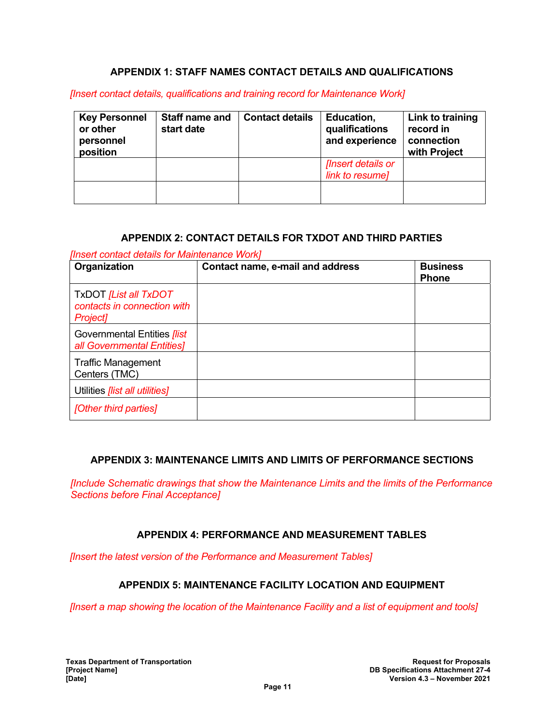#### **APPENDIX 1: STAFF NAMES CONTACT DETAILS AND QUALIFICATIONS**

*[Insert contact details, qualifications and training record for Maintenance Work]* 

| <b>Key Personnel</b><br>or other<br>personnel<br>position | Staff name and<br>start date | <b>Contact details</b> | Education,<br>qualifications<br>and experience | Link to training<br>record in<br>connection<br>with Project |
|-----------------------------------------------------------|------------------------------|------------------------|------------------------------------------------|-------------------------------------------------------------|
|                                                           |                              |                        | [Insert details or                             |                                                             |
|                                                           |                              |                        | link to resume]                                |                                                             |
|                                                           |                              |                        |                                                |                                                             |

#### **APPENDIX 2: CONTACT DETAILS FOR TXDOT AND THIRD PARTIES**

*[Insert contact details for Maintenance Work]*

| Organization                                                                        | Contact name, e-mail and address | <b>Business</b><br><b>Phone</b> |
|-------------------------------------------------------------------------------------|----------------------------------|---------------------------------|
| TxDOT [List all TxDOT<br>contacts in connection with<br><b>Project</b> <sub>1</sub> |                                  |                                 |
| Governmental Entities <i>[list</i> ]<br>all Governmental Entities]                  |                                  |                                 |
| <b>Traffic Management</b><br>Centers (TMC)                                          |                                  |                                 |
| Utilities <i>[list all utilities]</i>                                               |                                  |                                 |
| [Other third parties]                                                               |                                  |                                 |

#### **APPENDIX 3: MAINTENANCE LIMITS AND LIMITS OF PERFORMANCE SECTIONS**

*[Include Schematic drawings that show the Maintenance Limits and the limits of the Performance Sections before Final Acceptance]* 

#### **APPENDIX 4: PERFORMANCE AND MEASUREMENT TABLES**

*[Insert the latest version of the Performance and Measurement Tables]*

#### **APPENDIX 5: MAINTENANCE FACILITY LOCATION AND EQUIPMENT**

*[Insert a map showing the location of the Maintenance Facility and a list of equipment and tools]*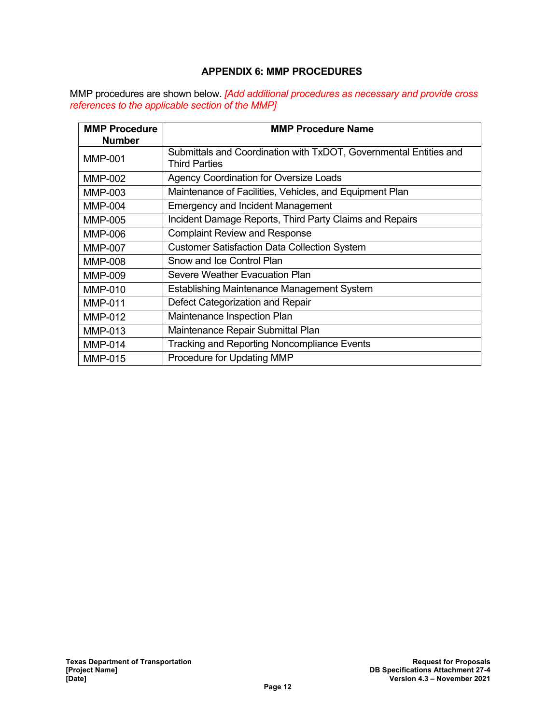#### **APPENDIX 6: MMP PROCEDURES**

MMP procedures are shown below. *[Add additional procedures as necessary and provide cross references to the applicable section of the MMP]* 

| <b>MMP Procedure</b> | <b>MMP Procedure Name</b>                                                          |
|----------------------|------------------------------------------------------------------------------------|
| <b>Number</b>        |                                                                                    |
| <b>MMP-001</b>       | Submittals and Coordination with TxDOT, Governmental Entities and<br>Third Parties |
| <b>MMP-002</b>       | <b>Agency Coordination for Oversize Loads</b>                                      |
| MMP-003              | Maintenance of Facilities, Vehicles, and Equipment Plan                            |
| <b>MMP-004</b>       | <b>Emergency and Incident Management</b>                                           |
| <b>MMP-005</b>       | Incident Damage Reports, Third Party Claims and Repairs                            |
| MMP-006              | <b>Complaint Review and Response</b>                                               |
| <b>MMP-007</b>       | <b>Customer Satisfaction Data Collection System</b>                                |
| <b>MMP-008</b>       | Snow and Ice Control Plan                                                          |
| <b>MMP-009</b>       | Severe Weather Evacuation Plan                                                     |
| <b>MMP-010</b>       | <b>Establishing Maintenance Management System</b>                                  |
| <b>MMP-011</b>       | Defect Categorization and Repair                                                   |
| <b>MMP-012</b>       | Maintenance Inspection Plan                                                        |
| <b>MMP-013</b>       | Maintenance Repair Submittal Plan                                                  |
| <b>MMP-014</b>       | <b>Tracking and Reporting Noncompliance Events</b>                                 |
| <b>MMP-015</b>       | Procedure for Updating MMP                                                         |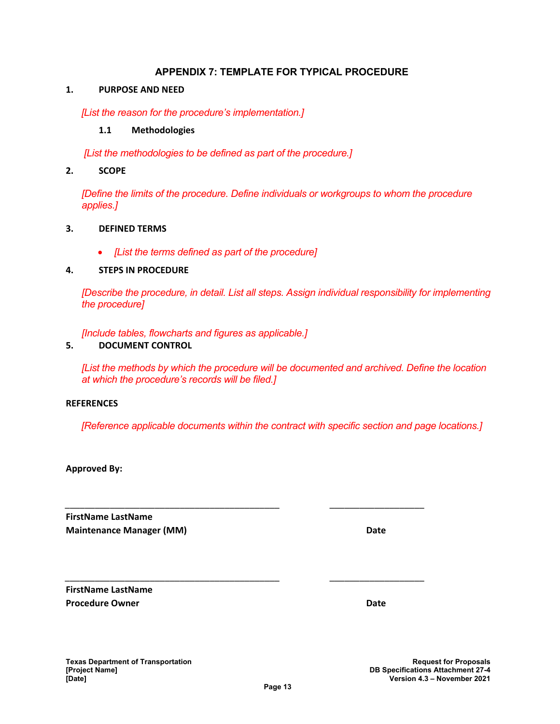#### **APPENDIX 7: TEMPLATE FOR TYPICAL PROCEDURE**

#### **1. PURPOSE AND NEED**

*[List the reason for the procedure's implementation.]* 

#### **1.1 Methodologies**

 *[List the methodologies to be defined as part of the procedure.]* 

**2. SCOPE**

*[Define the limits of the procedure. Define individuals or workgroups to whom the procedure applies.]* 

#### **3. DEFINED TERMS**

*[List the terms defined as part of the procedure]*

#### **4. STEPS IN PROCEDURE**

*[Describe the procedure, in detail. List all steps. Assign individual responsibility for implementing the procedure]* 

*[Include tables, flowcharts and figures as applicable.]* 

#### **5. DOCUMENT CONTROL**

*[List the methods by which the procedure will be documented and archived. Define the location at which the procedure's records will be filed.]* 

#### **REFERENCES**

*[Reference applicable documents within the contract with specific section and page locations.]* 

\_\_\_\_\_\_\_\_\_\_\_\_\_\_\_\_\_\_\_\_\_\_\_\_\_\_\_\_\_\_\_\_\_\_\_\_\_\_\_\_\_\_\_ \_\_\_\_\_\_\_\_\_\_\_\_\_\_\_\_\_\_\_

\_\_\_\_\_\_\_\_\_\_\_\_\_\_\_\_\_\_\_\_\_\_\_\_\_\_\_\_\_\_\_\_\_\_\_\_\_\_\_\_\_\_\_ \_\_\_\_\_\_\_\_\_\_\_\_\_\_\_\_\_\_\_

**Approved By:**

**FirstName LastName Maintenance Manager (MM) Date**

**FirstName LastName Procedure Owner Date**